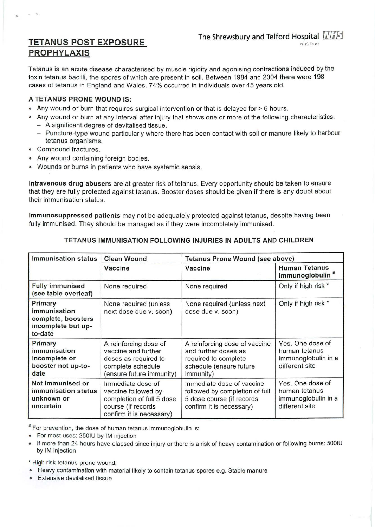# TETANUS POST EXPOSURE PROPHYLAXIS

Tetanus is an acute disease characterised by muscle rigidity and agonising contractions induced by the toxin tetanus bacilli, the spores of which are present in soil. Between 1984 and 2004 there were 198 cases of tetanus in England and Wales. 74% occurred in individuals over 45 years old.

The Shrewsbury and Telford Hospital  $N_{\ell}$ Find

NHS Trust

## A TETANUS PRONE WOUND IS:

- Any wound or burn that requires surgical intervention or that is delayed for > 6 hours.
- Any wound or burn at any interval after injury that shows one or more of the following characteristics:
	- A significant degree of devitalised tissue.
	- Puncture-type wound particularly where there has been contact with soil or manure likely to harbour tetanus organisms.
- Compound fractures.

. .

- Any wound containing foreign bodies.
- Wounds or burns in patients who have systemic sepsis.

Intravenous drug abusers are at greater risk of tetanus. Every opportunity should be taken to ensure that they are fully protected against tetanus. Booster doses should be given if there is any doubt about their immunisation status.

lmmunosuppressed patients may not be adequately protected against tetanus, despite having been fully immunised. They should be managed as if they were incompletely immunised.

| <b>Immunisation status</b>                                                     | <b>Clean Wound</b>                                                                                                      | <b>Tetanus Prone Wound (see above)</b>                                                                                        |                                                                            |
|--------------------------------------------------------------------------------|-------------------------------------------------------------------------------------------------------------------------|-------------------------------------------------------------------------------------------------------------------------------|----------------------------------------------------------------------------|
|                                                                                | Vaccine                                                                                                                 | Vaccine                                                                                                                       | <b>Human Tetanus</b><br>Immunoglobulin <sup>#</sup>                        |
| <b>Fully immunised</b><br>(see table overleaf)                                 | None required                                                                                                           | None required                                                                                                                 | Only if high risk *                                                        |
| Primary<br>immunisation<br>complete, boosters<br>incomplete but up-<br>to-date | None required (unless<br>next dose due v. soon)                                                                         | None required (unless next<br>dose due v. soon)                                                                               | Only if high risk *                                                        |
| Primary<br>immunisation<br>incomplete or<br>booster not up-to-<br>date         | A reinforcing dose of<br>vaccine and further<br>doses as required to<br>complete schedule<br>(ensure future immunity)   | A reinforcing dose of vaccine<br>and further doses as<br>required to complete<br>schedule (ensure future<br><i>immunity</i> ) | Yes. One dose of<br>human tetanus<br>immunoglobulin in a<br>different site |
| Not immunised or<br>immunisation status<br>unknown or<br>uncertain             | Immediate dose of<br>vaccine followed by<br>completion of full 5 dose<br>course (if records<br>confirm it is necessary) | Immediate dose of vaccine<br>followed by completion of full<br>5 dose course (if records<br>confirm it is necessary)          | Yes. One dose of<br>human tetanus<br>immunoglobulin in a<br>different site |

# TETANUS IMMUNISATION FOLLOWING INJURIES IN ADULTS AND CHILDREN

<sup>#</sup> For prevention, the dose of human tetanus immunoglobulin is:

- For most uses: 2501U by IM injection
- If more than 24 hours have elapsed since injury or there is a risk of heavy contamination or following burns: 5001U by IM injection

• High risk tetanus prone wound:

- Heavy contamination with material likely to contain tetanus spores e.g. Stable manure
- Extensive devitalised tissue